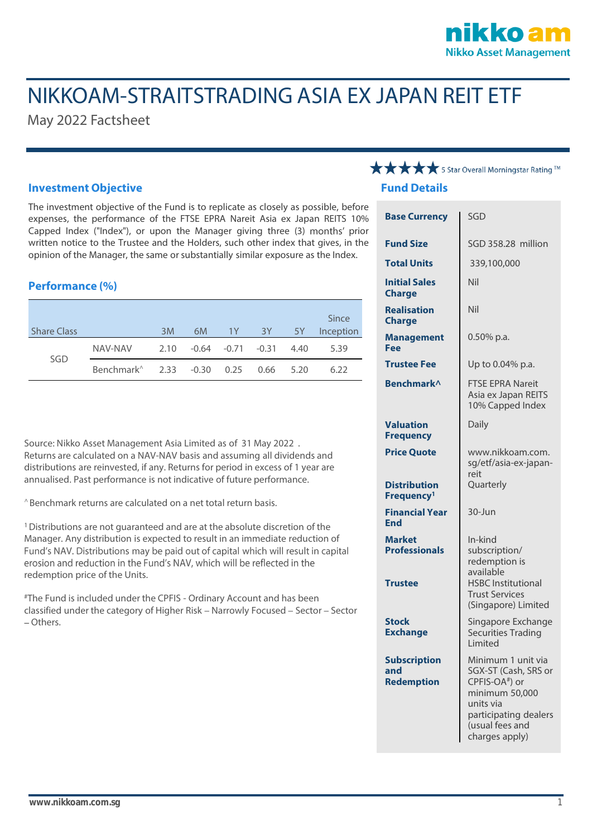### kko a **Nikko Asset Management**

# NIKKOAM-STRAITSTRADING ASIA EX JAPAN REIT ETF

May 2022 Factsheet

#### **Investment Objective**

The investment objective of the Fund is to replicate as closely as possible, before expenses, the performance of the FTSE EPRA Nareit Asia ex Japan REITS 10% Capped Index ("Index"), or upon the Manager giving three (3) months' prior written notice to the Trustee and the Holders, such other index that gives, in the opinion of the Manager, the same or substantially similar exposure as the Index.

#### **Performance (%)**

|                    |                                                  |      |                   |    |      |      | Since     |
|--------------------|--------------------------------------------------|------|-------------------|----|------|------|-----------|
| <b>Share Class</b> |                                                  | 3M   | 6M                | 1Y | 3Y - | 5Y   | Inception |
| SGD                | NAV-NAV                                          | 2.10 | -0.64 -0.71 -0.31 |    |      | 4.40 | 5.39      |
|                    | Benchmark <sup>^</sup> 2.33 -0.30 0.25 0.66 5.20 |      |                   |    |      |      | 6.22      |

Source: Nikko Asset Management Asia Limited as of 31 May 2022 . Returns are calculated on a NAV-NAV basis and assuming all dividends and distributions are reinvested, if any. Returns for period in excess of 1 year are annualised. Past performance is not indicative of future performance.

^ Benchmark returns are calculated on a net total return basis.

<sup>1</sup> Distributions are not quaranteed and are at the absolute discretion of the Manager. Any distribution is expected to result in an immediate reduction of<br>Fund's NAV. Distributions may be paid out of capital which will result in capital erosion and reduction in the Fund's NAV, which will be reflected in the redemption price of the Units.

#The Fund is included under the CPFIS - Ordinary Account and has been classified under the category of Higher Risk – Narrowly Focused – Sector – Sector Others.

## **★★★★** 5 Star Overall Morningstar Rating TM

#### **Fund Details**

| <b>Base Currency</b>                                    | SGD                                                                                                                                                                   |  |  |
|---------------------------------------------------------|-----------------------------------------------------------------------------------------------------------------------------------------------------------------------|--|--|
| <b>Fund Size</b>                                        | SGD 358.28 million                                                                                                                                                    |  |  |
| <b>Total Units</b>                                      | 339,100,000                                                                                                                                                           |  |  |
| <b>Initial Sales</b><br><b>Charge</b>                   | Nil                                                                                                                                                                   |  |  |
| <b>Realisation</b><br><b>Charge</b>                     | Nil                                                                                                                                                                   |  |  |
| <b>Management</b><br>Fee                                | $0.50\%$ p.a.                                                                                                                                                         |  |  |
| <b>Trustee Fee</b>                                      | Up to 0.04% p.a.                                                                                                                                                      |  |  |
| <b>Benchmark</b> <sup>^</sup>                           | <b>FTSE EPRA Nareit</b><br>Asia ex Japan REITS<br>10% Capped Index                                                                                                    |  |  |
| <b>Valuation</b><br><b>Frequency</b>                    | Daily                                                                                                                                                                 |  |  |
| <b>Price Quote</b>                                      | www.nikkoam.com.<br>sg/etf/asia-ex-japan-<br>reit                                                                                                                     |  |  |
| <b>Distribution</b><br>Frequency <sup>1</sup>           | Quarterly                                                                                                                                                             |  |  |
| <b>Financial Year</b><br>End                            | 30-Jun                                                                                                                                                                |  |  |
| <b>Market</b><br><b>Professionals</b><br><b>Trustee</b> | In-kind<br>subscription/<br>redemption is<br>available<br><b>HSBC</b> Institutional                                                                                   |  |  |
|                                                         | <b>Trust Services</b><br>(Singapore) Limited                                                                                                                          |  |  |
| <b>Stock</b><br><b>Exchange</b>                         | Singapore Exchange<br><b>Securities Trading</b><br>Limited                                                                                                            |  |  |
| <b>Subscription</b><br>and<br><b>Redemption</b>         | Minimum 1 unit via<br>SGX-ST (Cash, SRS or<br>CPFIS-OA <sup>#</sup> ) or<br>minimum 50,000<br>units via<br>participating dealers<br>(usual fees and<br>charges apply) |  |  |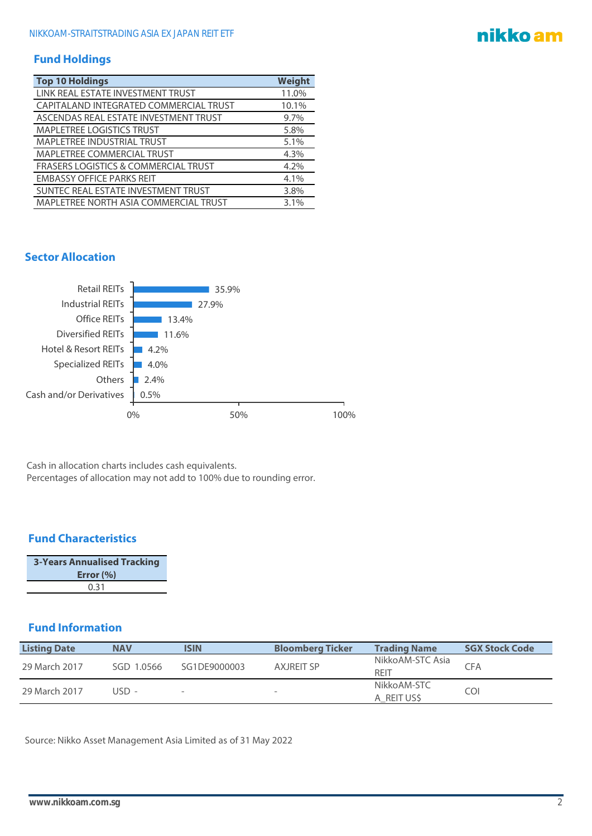#### **Fund Holdings**

| <b>Top 10 Holdings</b>                          | Weight |
|-------------------------------------------------|--------|
| LINK REAL ESTATE INVESTMENT TRUST               | 11.0%  |
| CAPITALAND INTEGRATED COMMERCIAL TRUST          | 10.1%  |
| ASCENDAS REAL ESTATE INVESTMENT TRUST           | 9.7%   |
| <b>MAPLETREE LOGISTICS TRUST</b>                | 5.8%   |
| <b>MAPLETREE INDUSTRIAL TRUST</b>               | 5.1%   |
| <b>MAPLETREE COMMERCIAL TRUST</b>               | 4.3%   |
| <b>FRASERS LOGISTICS &amp; COMMERCIAL TRUST</b> | 4.2%   |
| <b>EMBASSY OFFICE PARKS REIT</b>                | 4.1%   |
| SUNTEC REAL ESTATE INVESTMENT TRUST             | 3.8%   |
| MAPLETREE NORTH ASIA COMMERCIAL TRUST           | 3.1%   |

#### **Sector Allocation**



Cash in allocation charts includes cash equivalents. Percentages of allocation may not add to 100% due to rounding error.

#### **Fund Characteristics**

| <b>3-Years Annualised Tracking</b> |
|------------------------------------|
| Error $(\% )$                      |
| 0.31                               |

#### **Fund Information**

| <b>Listing Date</b> | <b>NAV</b> | <b>ISIN</b>              | <b>Bloomberg Ticker</b>  | <b>Trading Name</b>       | <b>SGX Stock Code</b> |
|---------------------|------------|--------------------------|--------------------------|---------------------------|-----------------------|
| 29 March 2017       | SGD 1.0566 | SG1DE9000003             | <b>AXJREIT SP</b>        | NikkoAM-STC Asia<br>REIT  | CFA                   |
| 29 March 2017       | USD -      | $\overline{\phantom{a}}$ | $\overline{\phantom{a}}$ | NikkoAM-STC<br>A REIT USS | COI                   |

Source: Nikko Asset Management Asia Limited as of 31 May 2022